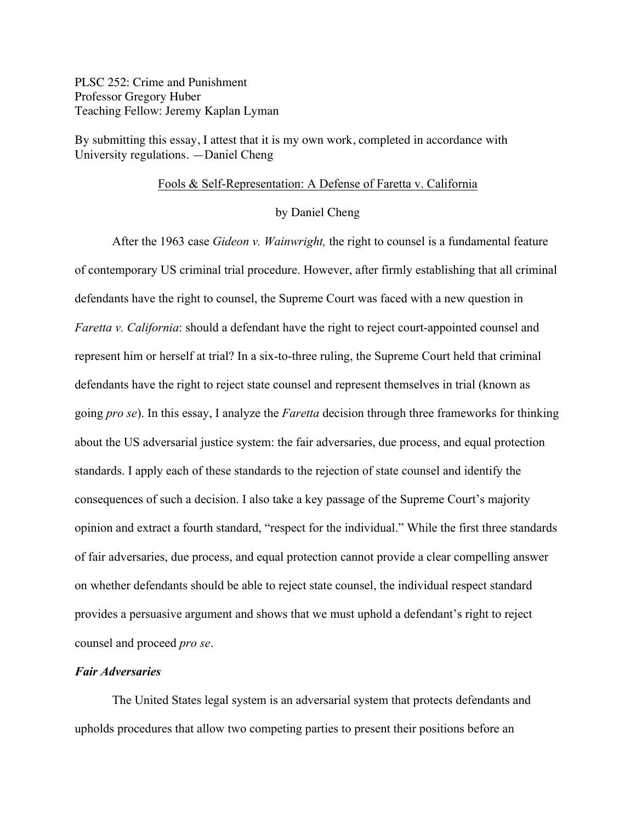PLSC 252: Crime and Punishment Professor Gregory Huber Teaching Fellow: Jeremy Kaplan Lyman

By submitting this essay, I attest that it is my own work, completed in accordance with University regulations. —Daniel Cheng

#### Fools & Self-Representation: A Defense of Faretta v. California

### by Daniel Cheng

After the 1963 case *Gideon v. Wainwright,* the right to counsel is a fundamental feature of contemporary US criminal trial procedure. However, after firmly establishing that all criminal defendants have the right to counsel, the Supreme Court was faced with a new question in *Faretta v. California*: should a defendant have the right to reject court-appointed counsel and represent him or herself at trial? In a six-to-three ruling, the Supreme Court held that criminal defendants have the right to reject state counsel and represent themselves in trial (known as going *pro se*). In this essay, I analyze the *Faretta* decision through three frameworks for thinking about the US adversarial justice system: the fair adversaries, due process, and equal protection standards. I apply each of these standards to the rejection of state counsel and identify the consequences of such a decision. I also take a key passage of the Supreme Court's majority opinion and extract a fourth standard, "respect for the individual." While the first three standards of fair adversaries, due process, and equal protection cannot provide a clear compelling answer on whether defendants should be able to reject state counsel, the individual respect standard provides a persuasive argument and shows that we must uphold a defendant's right to reject counsel and proceed *pro se*.

## *Fair Adversaries*

The United States legal system is an adversarial system that protects defendants and upholds procedures that allow two competing parties to present their positions before an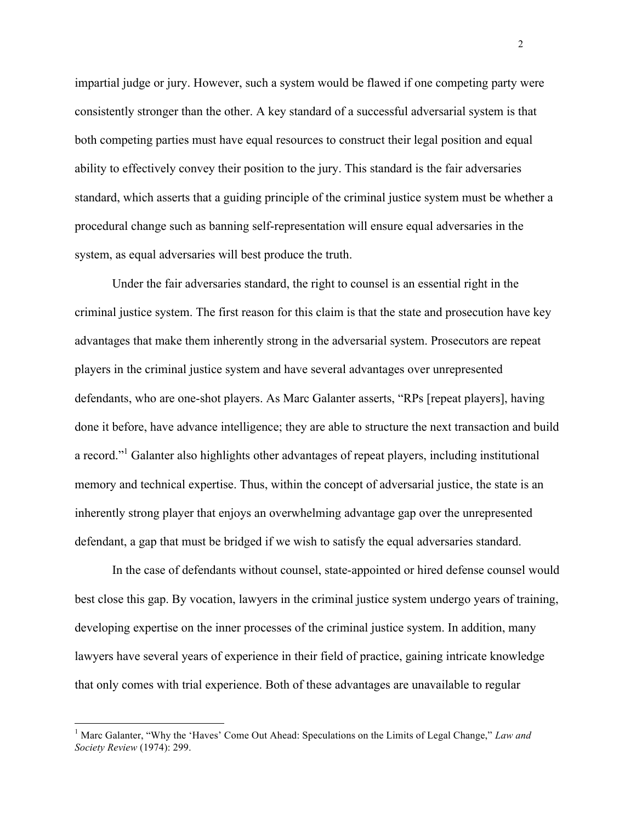impartial judge or jury. However, such a system would be flawed if one competing party were consistently stronger than the other. A key standard of a successful adversarial system is that both competing parties must have equal resources to construct their legal position and equal ability to effectively convey their position to the jury. This standard is the fair adversaries standard, which asserts that a guiding principle of the criminal justice system must be whether a procedural change such as banning self-representation will ensure equal adversaries in the system, as equal adversaries will best produce the truth.

Under the fair adversaries standard, the right to counsel is an essential right in the criminal justice system. The first reason for this claim is that the state and prosecution have key advantages that make them inherently strong in the adversarial system. Prosecutors are repeat players in the criminal justice system and have several advantages over unrepresented defendants, who are one-shot players. As Marc Galanter asserts, "RPs [repeat players], having done it before, have advance intelligence; they are able to structure the next transaction and build a record."<sup>1</sup> Galanter also highlights other advantages of repeat players, including institutional memory and technical expertise. Thus, within the concept of adversarial justice, the state is an inherently strong player that enjoys an overwhelming advantage gap over the unrepresented defendant, a gap that must be bridged if we wish to satisfy the equal adversaries standard.

In the case of defendants without counsel, state-appointed or hired defense counsel would best close this gap. By vocation, lawyers in the criminal justice system undergo years of training, developing expertise on the inner processes of the criminal justice system. In addition, many lawyers have several years of experience in their field of practice, gaining intricate knowledge that only comes with trial experience. Both of these advantages are unavailable to regular

 <sup>1</sup> Marc Galanter, "Why the 'Haves' Come Out Ahead: Speculations on the Limits of Legal Change," *Law and Society Review* (1974): 299.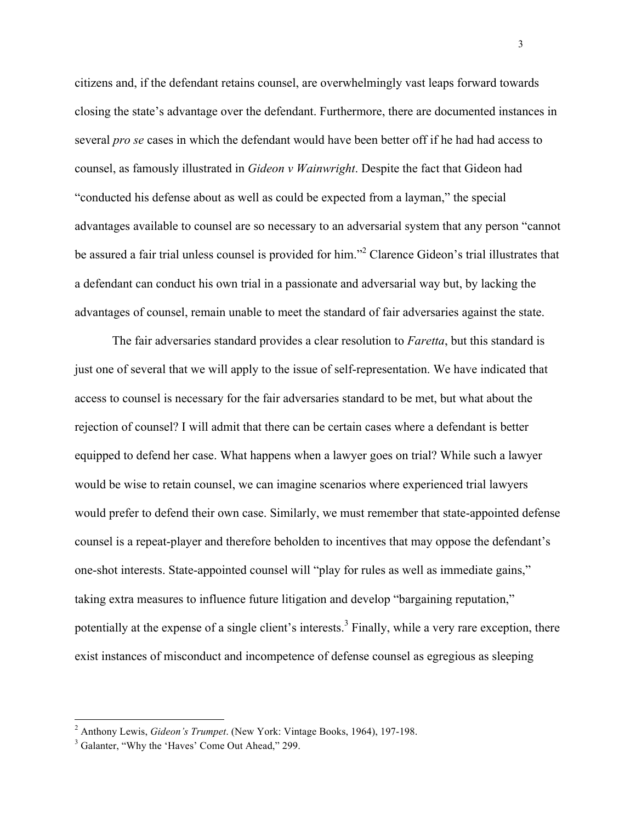citizens and, if the defendant retains counsel, are overwhelmingly vast leaps forward towards closing the state's advantage over the defendant. Furthermore, there are documented instances in several *pro se* cases in which the defendant would have been better off if he had had access to counsel, as famously illustrated in *Gideon v Wainwright*. Despite the fact that Gideon had "conducted his defense about as well as could be expected from a layman," the special advantages available to counsel are so necessary to an adversarial system that any person "cannot be assured a fair trial unless counsel is provided for him."<sup>2</sup> Clarence Gideon's trial illustrates that a defendant can conduct his own trial in a passionate and adversarial way but, by lacking the advantages of counsel, remain unable to meet the standard of fair adversaries against the state.

The fair adversaries standard provides a clear resolution to *Faretta*, but this standard is just one of several that we will apply to the issue of self-representation. We have indicated that access to counsel is necessary for the fair adversaries standard to be met, but what about the rejection of counsel? I will admit that there can be certain cases where a defendant is better equipped to defend her case. What happens when a lawyer goes on trial? While such a lawyer would be wise to retain counsel, we can imagine scenarios where experienced trial lawyers would prefer to defend their own case. Similarly, we must remember that state-appointed defense counsel is a repeat-player and therefore beholden to incentives that may oppose the defendant's one-shot interests. State-appointed counsel will "play for rules as well as immediate gains," taking extra measures to influence future litigation and develop "bargaining reputation," potentially at the expense of a single client's interests.<sup>3</sup> Finally, while a very rare exception, there exist instances of misconduct and incompetence of defense counsel as egregious as sleeping

3

 <sup>2</sup> Anthony Lewis, *Gideon's Trumpet*. (New York: Vintage Books, 1964), 197-198.

<sup>&</sup>lt;sup>3</sup> Galanter, "Why the 'Haves' Come Out Ahead," 299.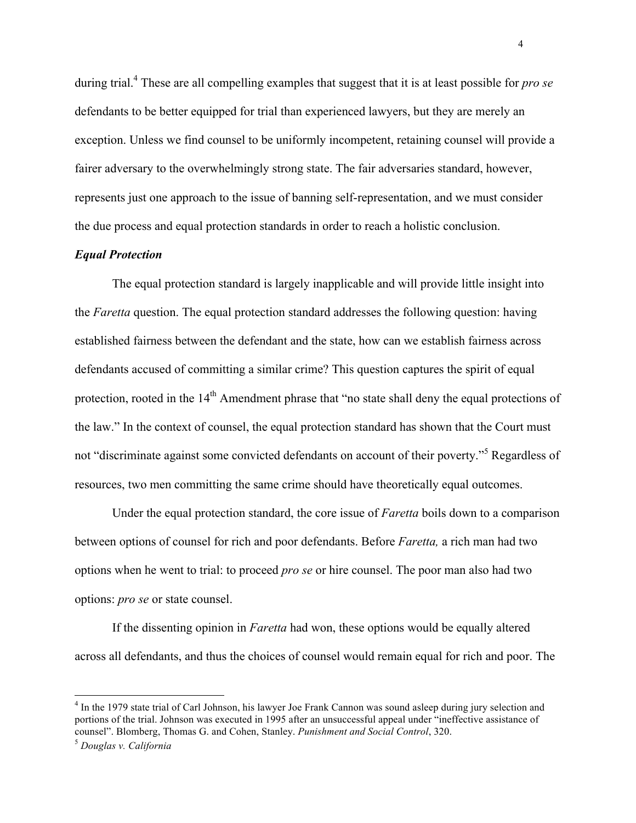during trial.4 These are all compelling examples that suggest that it is at least possible for *pro se* defendants to be better equipped for trial than experienced lawyers, but they are merely an exception. Unless we find counsel to be uniformly incompetent, retaining counsel will provide a fairer adversary to the overwhelmingly strong state. The fair adversaries standard, however, represents just one approach to the issue of banning self-representation, and we must consider the due process and equal protection standards in order to reach a holistic conclusion.

#### *Equal Protection*

The equal protection standard is largely inapplicable and will provide little insight into the *Faretta* question. The equal protection standard addresses the following question: having established fairness between the defendant and the state, how can we establish fairness across defendants accused of committing a similar crime? This question captures the spirit of equal protection, rooted in the 14<sup>th</sup> Amendment phrase that "no state shall deny the equal protections of the law." In the context of counsel, the equal protection standard has shown that the Court must not "discriminate against some convicted defendants on account of their poverty."<sup>5</sup> Regardless of resources, two men committing the same crime should have theoretically equal outcomes.

Under the equal protection standard, the core issue of *Faretta* boils down to a comparison between options of counsel for rich and poor defendants. Before *Faretta,* a rich man had two options when he went to trial: to proceed *pro se* or hire counsel. The poor man also had two options: *pro se* or state counsel.

If the dissenting opinion in *Faretta* had won, these options would be equally altered across all defendants, and thus the choices of counsel would remain equal for rich and poor. The

<sup>&</sup>lt;sup>4</sup> In the 1979 state trial of Carl Johnson, his lawyer Joe Frank Cannon was sound asleep during jury selection and portions of the trial. Johnson was executed in 1995 after an unsuccessful appeal under "ineffective assistance of counsel". Blomberg, Thomas G. and Cohen, Stanley. *Punishment and Social Control*, 320.

<sup>5</sup> *Douglas v. California*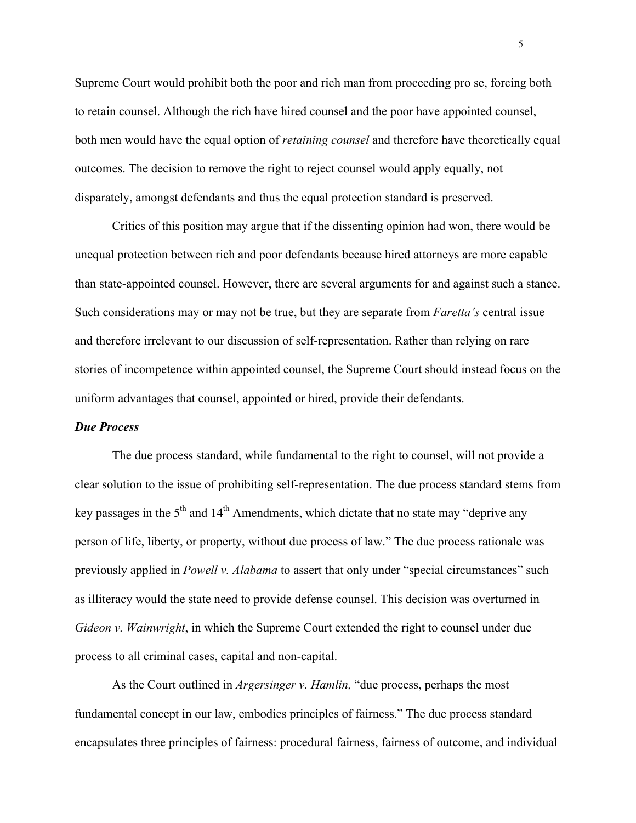Supreme Court would prohibit both the poor and rich man from proceeding pro se, forcing both to retain counsel. Although the rich have hired counsel and the poor have appointed counsel, both men would have the equal option of *retaining counsel* and therefore have theoretically equal outcomes. The decision to remove the right to reject counsel would apply equally, not disparately, amongst defendants and thus the equal protection standard is preserved.

Critics of this position may argue that if the dissenting opinion had won, there would be unequal protection between rich and poor defendants because hired attorneys are more capable than state-appointed counsel. However, there are several arguments for and against such a stance. Such considerations may or may not be true, but they are separate from *Faretta's* central issue and therefore irrelevant to our discussion of self-representation. Rather than relying on rare stories of incompetence within appointed counsel, the Supreme Court should instead focus on the uniform advantages that counsel, appointed or hired, provide their defendants.

#### *Due Process*

The due process standard, while fundamental to the right to counsel, will not provide a clear solution to the issue of prohibiting self-representation. The due process standard stems from key passages in the  $5<sup>th</sup>$  and  $14<sup>th</sup>$  Amendments, which dictate that no state may "deprive any person of life, liberty, or property, without due process of law." The due process rationale was previously applied in *Powell v. Alabama* to assert that only under "special circumstances" such as illiteracy would the state need to provide defense counsel. This decision was overturned in *Gideon v. Wainwright*, in which the Supreme Court extended the right to counsel under due process to all criminal cases, capital and non-capital.

As the Court outlined in *Argersinger v. Hamlin,* "due process, perhaps the most fundamental concept in our law, embodies principles of fairness." The due process standard encapsulates three principles of fairness: procedural fairness, fairness of outcome, and individual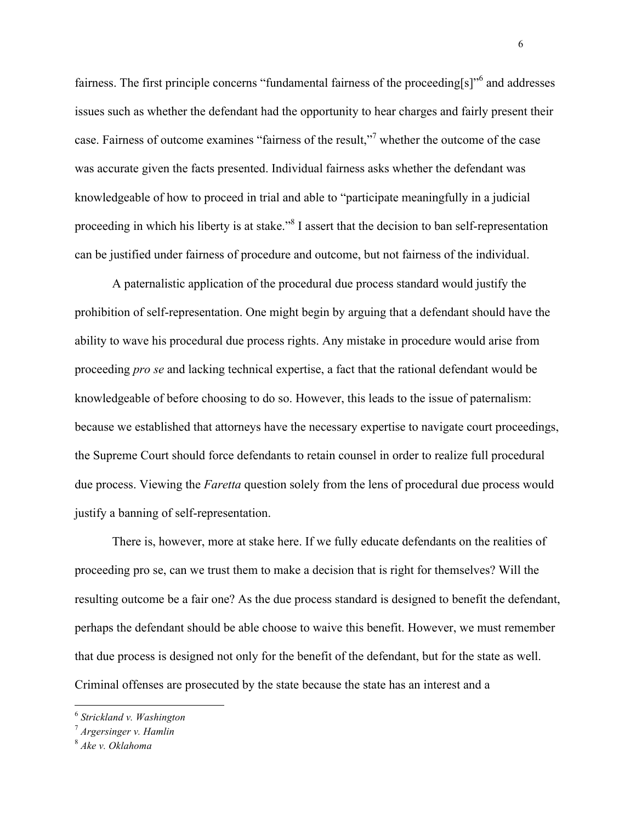fairness. The first principle concerns "fundamental fairness of the proceeding[s]"<sup>6</sup> and addresses issues such as whether the defendant had the opportunity to hear charges and fairly present their case. Fairness of outcome examines "fairness of the result,"7 whether the outcome of the case was accurate given the facts presented. Individual fairness asks whether the defendant was knowledgeable of how to proceed in trial and able to "participate meaningfully in a judicial proceeding in which his liberty is at stake."<sup>8</sup> I assert that the decision to ban self-representation can be justified under fairness of procedure and outcome, but not fairness of the individual.

A paternalistic application of the procedural due process standard would justify the prohibition of self-representation. One might begin by arguing that a defendant should have the ability to wave his procedural due process rights. Any mistake in procedure would arise from proceeding *pro se* and lacking technical expertise, a fact that the rational defendant would be knowledgeable of before choosing to do so. However, this leads to the issue of paternalism: because we established that attorneys have the necessary expertise to navigate court proceedings, the Supreme Court should force defendants to retain counsel in order to realize full procedural due process. Viewing the *Faretta* question solely from the lens of procedural due process would justify a banning of self-representation.

There is, however, more at stake here. If we fully educate defendants on the realities of proceeding pro se, can we trust them to make a decision that is right for themselves? Will the resulting outcome be a fair one? As the due process standard is designed to benefit the defendant, perhaps the defendant should be able choose to waive this benefit. However, we must remember that due process is designed not only for the benefit of the defendant, but for the state as well. Criminal offenses are prosecuted by the state because the state has an interest and a

 <sup>6</sup> *Strickland v. Washington*

<sup>7</sup> *Argersinger v. Hamlin*

<sup>8</sup> *Ake v. Oklahoma*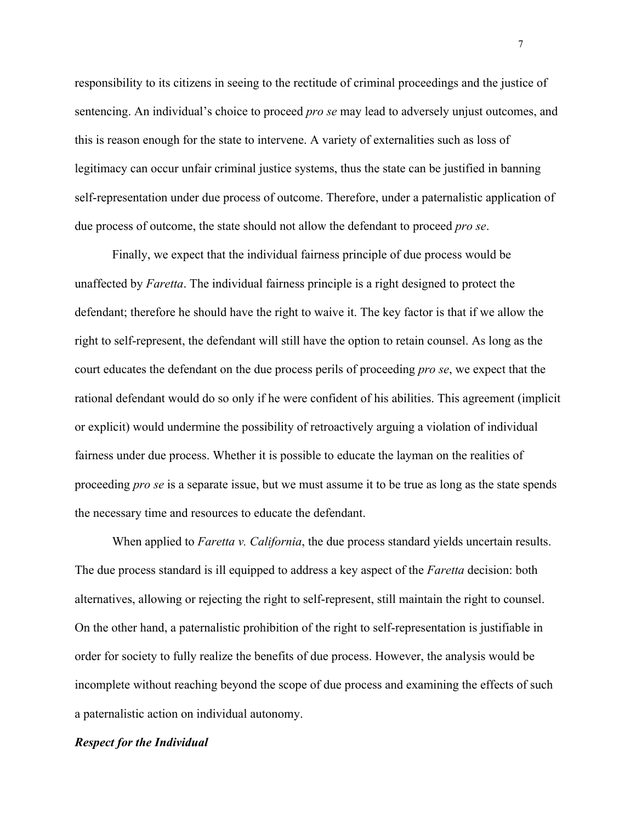responsibility to its citizens in seeing to the rectitude of criminal proceedings and the justice of sentencing. An individual's choice to proceed *pro se* may lead to adversely unjust outcomes, and this is reason enough for the state to intervene. A variety of externalities such as loss of legitimacy can occur unfair criminal justice systems, thus the state can be justified in banning self-representation under due process of outcome. Therefore, under a paternalistic application of due process of outcome, the state should not allow the defendant to proceed *pro se*.

Finally, we expect that the individual fairness principle of due process would be unaffected by *Faretta*. The individual fairness principle is a right designed to protect the defendant; therefore he should have the right to waive it. The key factor is that if we allow the right to self-represent, the defendant will still have the option to retain counsel. As long as the court educates the defendant on the due process perils of proceeding *pro se*, we expect that the rational defendant would do so only if he were confident of his abilities. This agreement (implicit or explicit) would undermine the possibility of retroactively arguing a violation of individual fairness under due process. Whether it is possible to educate the layman on the realities of proceeding *pro se* is a separate issue, but we must assume it to be true as long as the state spends the necessary time and resources to educate the defendant.

When applied to *Faretta v. California*, the due process standard yields uncertain results. The due process standard is ill equipped to address a key aspect of the *Faretta* decision: both alternatives, allowing or rejecting the right to self-represent, still maintain the right to counsel. On the other hand, a paternalistic prohibition of the right to self-representation is justifiable in order for society to fully realize the benefits of due process. However, the analysis would be incomplete without reaching beyond the scope of due process and examining the effects of such a paternalistic action on individual autonomy.

# *Respect for the Individual*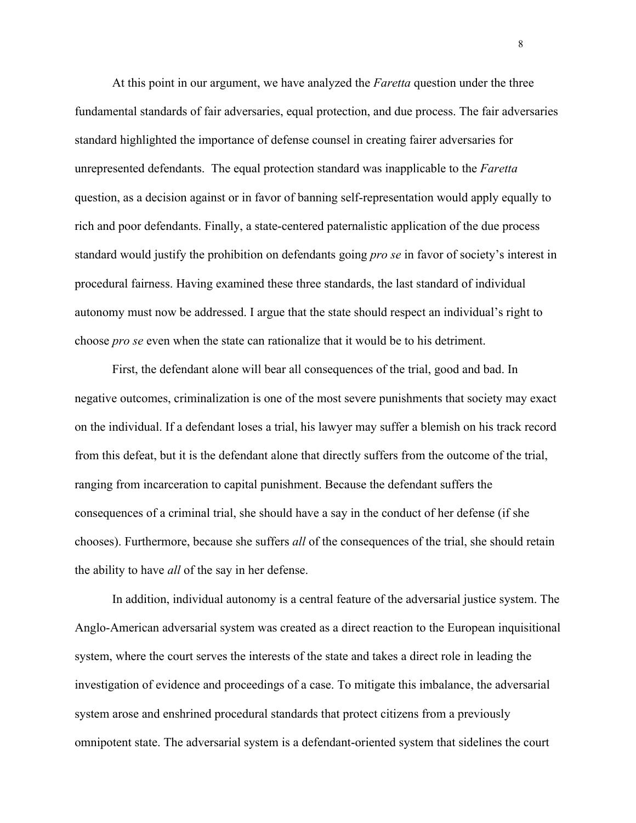At this point in our argument, we have analyzed the *Faretta* question under the three fundamental standards of fair adversaries, equal protection, and due process. The fair adversaries standard highlighted the importance of defense counsel in creating fairer adversaries for unrepresented defendants. The equal protection standard was inapplicable to the *Faretta*  question, as a decision against or in favor of banning self-representation would apply equally to rich and poor defendants. Finally, a state-centered paternalistic application of the due process standard would justify the prohibition on defendants going *pro se* in favor of society's interest in procedural fairness. Having examined these three standards, the last standard of individual autonomy must now be addressed. I argue that the state should respect an individual's right to choose *pro se* even when the state can rationalize that it would be to his detriment.

First, the defendant alone will bear all consequences of the trial, good and bad. In negative outcomes, criminalization is one of the most severe punishments that society may exact on the individual. If a defendant loses a trial, his lawyer may suffer a blemish on his track record from this defeat, but it is the defendant alone that directly suffers from the outcome of the trial, ranging from incarceration to capital punishment. Because the defendant suffers the consequences of a criminal trial, she should have a say in the conduct of her defense (if she chooses). Furthermore, because she suffers *all* of the consequences of the trial, she should retain the ability to have *all* of the say in her defense.

In addition, individual autonomy is a central feature of the adversarial justice system. The Anglo-American adversarial system was created as a direct reaction to the European inquisitional system, where the court serves the interests of the state and takes a direct role in leading the investigation of evidence and proceedings of a case. To mitigate this imbalance, the adversarial system arose and enshrined procedural standards that protect citizens from a previously omnipotent state. The adversarial system is a defendant-oriented system that sidelines the court

8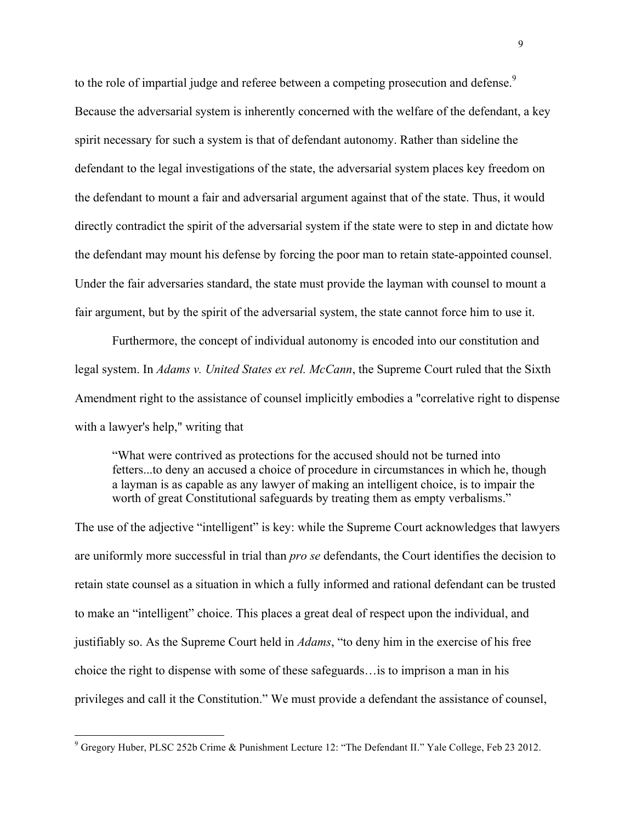to the role of impartial judge and referee between a competing prosecution and defense.<sup>9</sup> Because the adversarial system is inherently concerned with the welfare of the defendant, a key spirit necessary for such a system is that of defendant autonomy. Rather than sideline the defendant to the legal investigations of the state, the adversarial system places key freedom on the defendant to mount a fair and adversarial argument against that of the state. Thus, it would directly contradict the spirit of the adversarial system if the state were to step in and dictate how the defendant may mount his defense by forcing the poor man to retain state-appointed counsel. Under the fair adversaries standard, the state must provide the layman with counsel to mount a fair argument, but by the spirit of the adversarial system, the state cannot force him to use it.

Furthermore, the concept of individual autonomy is encoded into our constitution and legal system. In *Adams v. United States ex rel. McCann*, the Supreme Court ruled that the Sixth Amendment right to the assistance of counsel implicitly embodies a "correlative right to dispense with a lawyer's help," writing that

"What were contrived as protections for the accused should not be turned into fetters...to deny an accused a choice of procedure in circumstances in which he, though a layman is as capable as any lawyer of making an intelligent choice, is to impair the worth of great Constitutional safeguards by treating them as empty verbalisms."

The use of the adjective "intelligent" is key: while the Supreme Court acknowledges that lawyers are uniformly more successful in trial than *pro se* defendants, the Court identifies the decision to retain state counsel as a situation in which a fully informed and rational defendant can be trusted to make an "intelligent" choice. This places a great deal of respect upon the individual, and justifiably so. As the Supreme Court held in *Adams*, "to deny him in the exercise of his free choice the right to dispense with some of these safeguards…is to imprison a man in his privileges and call it the Constitution." We must provide a defendant the assistance of counsel,

 <sup>9</sup> Gregory Huber, PLSC 252b Crime & Punishment Lecture 12: "The Defendant II." Yale College, Feb 23 2012.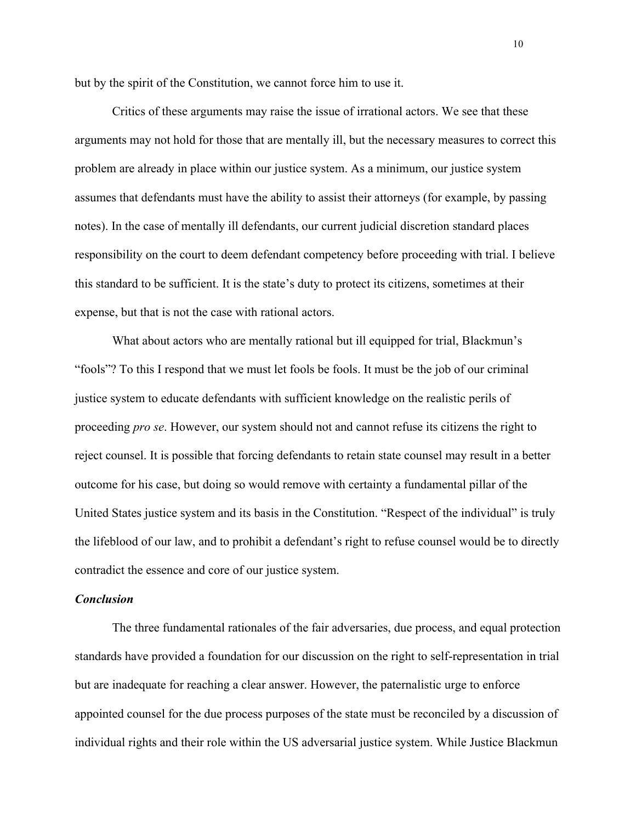but by the spirit of the Constitution, we cannot force him to use it.

Critics of these arguments may raise the issue of irrational actors. We see that these arguments may not hold for those that are mentally ill, but the necessary measures to correct this problem are already in place within our justice system. As a minimum, our justice system assumes that defendants must have the ability to assist their attorneys (for example, by passing notes). In the case of mentally ill defendants, our current judicial discretion standard places responsibility on the court to deem defendant competency before proceeding with trial. I believe this standard to be sufficient. It is the state's duty to protect its citizens, sometimes at their expense, but that is not the case with rational actors.

What about actors who are mentally rational but ill equipped for trial, Blackmun's "fools"? To this I respond that we must let fools be fools. It must be the job of our criminal justice system to educate defendants with sufficient knowledge on the realistic perils of proceeding *pro se*. However, our system should not and cannot refuse its citizens the right to reject counsel. It is possible that forcing defendants to retain state counsel may result in a better outcome for his case, but doing so would remove with certainty a fundamental pillar of the United States justice system and its basis in the Constitution. "Respect of the individual" is truly the lifeblood of our law, and to prohibit a defendant's right to refuse counsel would be to directly contradict the essence and core of our justice system.

#### *Conclusion*

The three fundamental rationales of the fair adversaries, due process, and equal protection standards have provided a foundation for our discussion on the right to self-representation in trial but are inadequate for reaching a clear answer. However, the paternalistic urge to enforce appointed counsel for the due process purposes of the state must be reconciled by a discussion of individual rights and their role within the US adversarial justice system. While Justice Blackmun